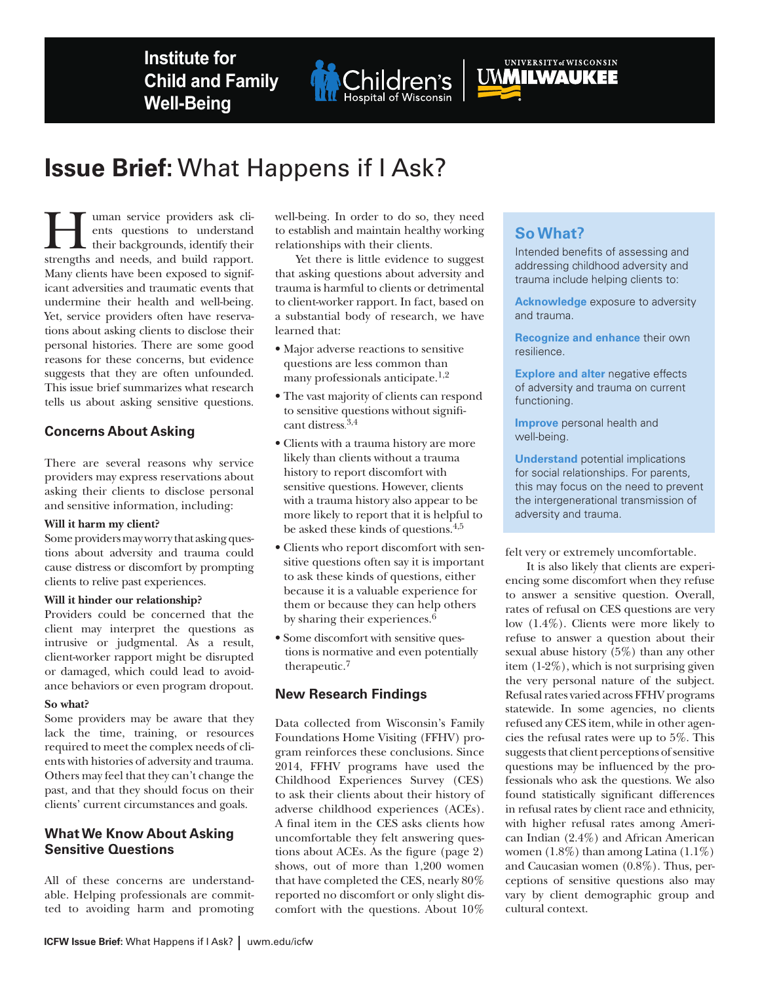**Institute for Child and Family Well-Being**



# UWWILWAUKEE

## **Issue Brief:** What Happens if I Ask?

**Human service providers ask clients**<br>their questions to understand<br>their backgrounds, identify their<br>strengths and needs and build rapport ents questions to understand their backgrounds, identify their strengths and needs, and build rapport. Many clients have been exposed to significant adversities and traumatic events that undermine their health and well-being. Yet, service providers often have reservations about asking clients to disclose their personal histories. There are some good reasons for these concerns, but evidence suggests that they are often unfounded. This issue brief summarizes what research tells us about asking sensitive questions.

## **Concerns About Asking**

There are several reasons why service providers may express reservations about asking their clients to disclose personal and sensitive information, including:

## **Will it harm my client?**

Some providers may worry that asking questions about adversity and trauma could cause distress or discomfort by prompting clients to relive past experiences.

## **Will it hinder our relationship?**

Providers could be concerned that the client may interpret the questions as intrusive or judgmental. As a result, client-worker rapport might be disrupted or damaged, which could lead to avoidance behaviors or even program dropout.

## **So what?**

Some providers may be aware that they lack the time, training, or resources required to meet the complex needs of clients with histories of adversity and trauma. Others may feel that they can't change the past, and that they should focus on their clients' current circumstances and goals.

## **What We Know About Asking Sensitive Questions**

All of these concerns are understandable. Helping professionals are committed to avoiding harm and promoting well-being. In order to do so, they need to establish and maintain healthy working relationships with their clients.

Yet there is little evidence to suggest that asking questions about adversity and trauma is harmful to clients or detrimental to client-worker rapport. In fact, based on a substantial body of research, we have learned that:

- Major adverse reactions to sensitive questions are less common than many professionals anticipate.<sup>1,2</sup>
- The vast majority of clients can respond to sensitive questions without significant distress. 3,4
- Clients with a trauma history are more likely than clients without a trauma history to report discomfort with sensitive questions. However, clients with a trauma history also appear to be more likely to report that it is helpful to be asked these kinds of questions.4,5
- Clients who report discomfort with sensitive questions often say it is important to ask these kinds of questions, either because it is a valuable experience for them or because they can help others by sharing their experiences.<sup>6</sup>
- Some discomfort with sensitive questions is normative and even potentially therapeutic.7

## **New Research Findings**

Data collected from Wisconsin's Family Foundations Home Visiting (FFHV) program reinforces these conclusions. Since 2014, FFHV programs have used the Childhood Experiences Survey (CES) to ask their clients about their history of adverse childhood experiences (ACEs). A final item in the CES asks clients how uncomfortable they felt answering questions about ACEs. As the figure (page 2) shows, out of more than 1,200 women that have completed the CES, nearly 80% reported no discomfort or only slight discomfort with the questions. About 10%

## **So What?**

Intended benefits of assessing and addressing childhood adversity and trauma include helping clients to:

**Acknowledge** exposure to adversity and trauma.

**Recognize and enhance** their own resilience.

**Explore and alter** negative effects of adversity and trauma on current functioning.

**Improve** personal health and well-being.

**Understand** potential implications for social relationships. For parents, this may focus on the need to prevent the intergenerational transmission of adversity and trauma.

felt very or extremely uncomfortable.

It is also likely that clients are experiencing some discomfort when they refuse to answer a sensitive question. Overall, rates of refusal on CES questions are very low (1.4%). Clients were more likely to refuse to answer a question about their sexual abuse history (5%) than any other item (1-2%), which is not surprising given the very personal nature of the subject. Refusal rates varied across FFHV programs statewide. In some agencies, no clients refused any CES item, while in other agencies the refusal rates were up to 5%. This suggests that client perceptions of sensitive questions may be influenced by the professionals who ask the questions. We also found statistically significant differences in refusal rates by client race and ethnicity, with higher refusal rates among American Indian (2.4%) and African American women  $(1.8\%)$  than among Latina  $(1.1\%)$ and Caucasian women (0.8%). Thus, perceptions of sensitive questions also may vary by client demographic group and cultural context.